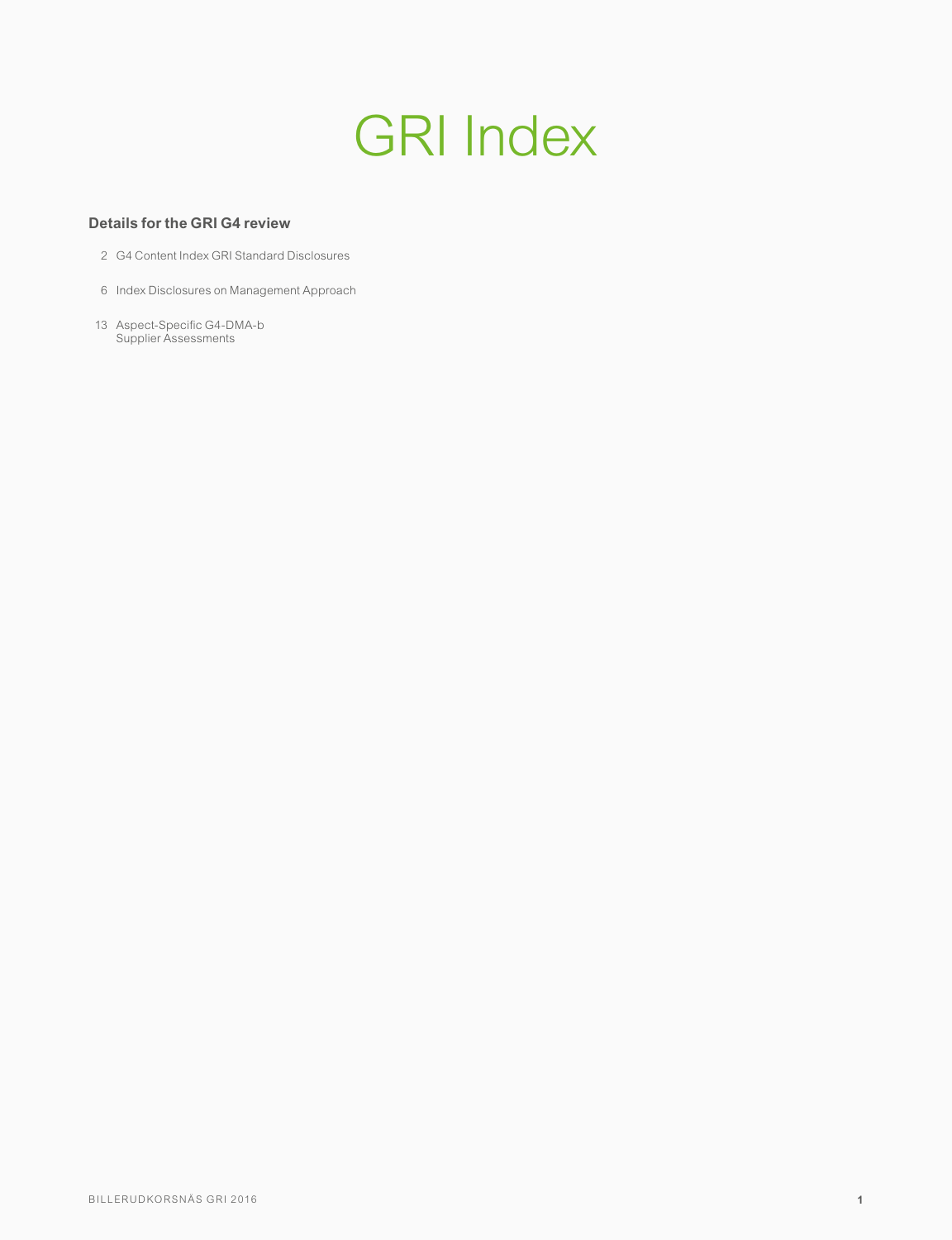# GRI Index

#### **Details for the GRI G4 review**

- 2 G4 Content Index GRI Standard Disclosures
- 6 Index Disclosures on Management Approach
- 13 Aspect-Specific G4-DMA-b Supplier Assessments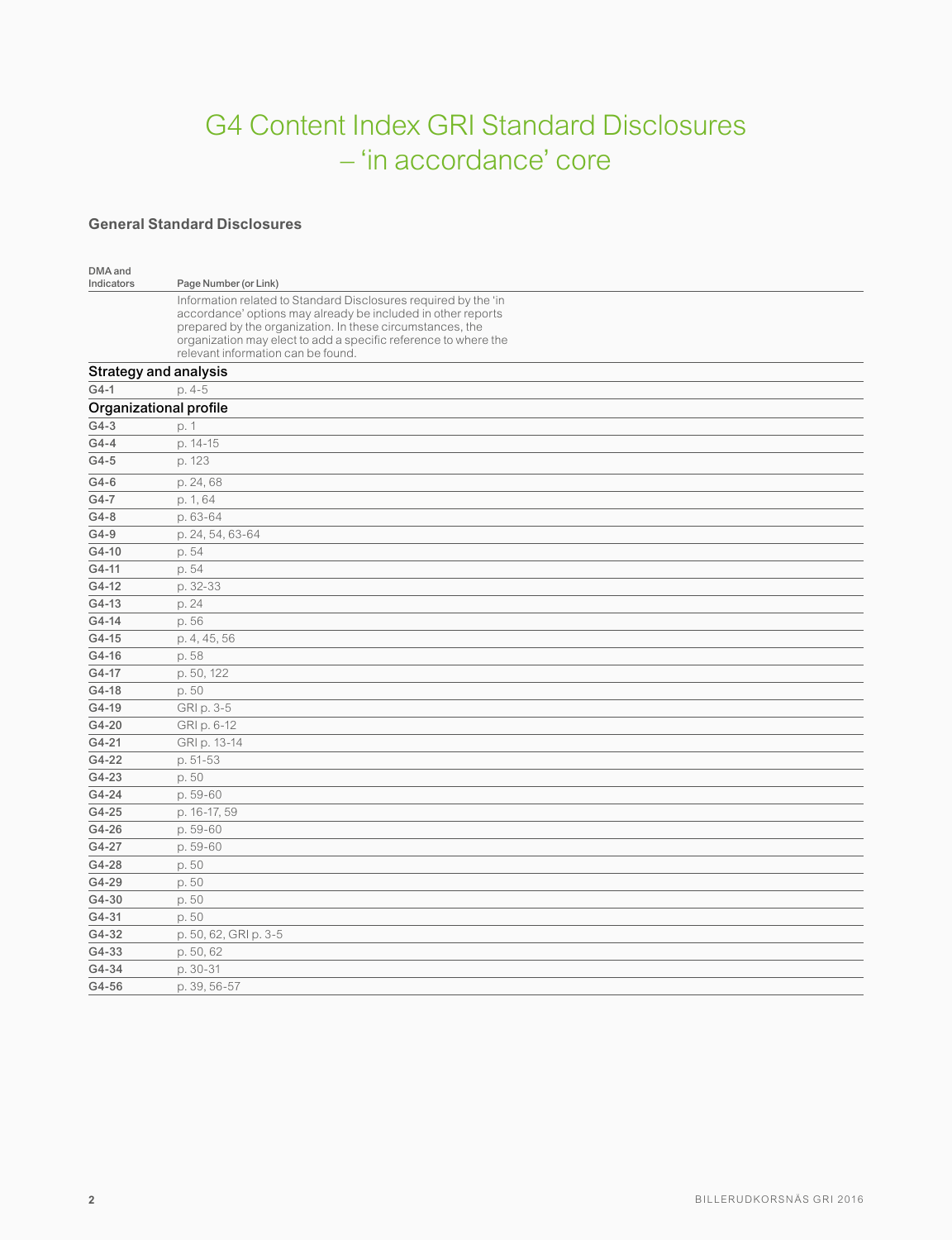# G4 Content Index GRI Standard Disclosures – 'in accordance' core

#### **General Standard Disclosures**

| DMA and<br>Indicators | Page Number (or Link)                                                                                                           |
|-----------------------|---------------------------------------------------------------------------------------------------------------------------------|
|                       | Information related to Standard Disclosures required by the 'in<br>accordance' options may already be included in other reports |
|                       | prepared by the organization. In these circumstances, the                                                                       |
|                       | organization may elect to add a specific reference to where the                                                                 |
|                       | relevant information can be found.<br><b>Strategy and analysis</b>                                                              |
| $G4-1$                | p. 4-5                                                                                                                          |
|                       | Organizational profile                                                                                                          |
| $G4-3$                | p. 1                                                                                                                            |
| $G4-4$                | p. 14-15                                                                                                                        |
| $G4-5$                | p. 123                                                                                                                          |
|                       |                                                                                                                                 |
| $G4-6$                | p. 24, 68                                                                                                                       |
| G4-7<br>$G4-8$        | p. 1, 64<br>p. 63-64                                                                                                            |
| $G4-9$                | p. 24, 54, 63-64                                                                                                                |
| G4-10                 | p. 54                                                                                                                           |
| G4-11                 | p. 54                                                                                                                           |
| G4-12                 | p. 32-33                                                                                                                        |
| G4-13                 | p. 24                                                                                                                           |
| G4-14                 | p. 56                                                                                                                           |
| G4-15                 | p. 4, 45, 56                                                                                                                    |
| G4-16                 | p. 58                                                                                                                           |
| G4-17                 | p. 50, 122                                                                                                                      |
| G4-18                 | p.50                                                                                                                            |
| G4-19                 | GRI p. 3-5                                                                                                                      |
| G4-20                 | GRI p. 6-12                                                                                                                     |
| G4-21                 | GRI p. 13-14                                                                                                                    |
| G4-22                 | p. 51-53                                                                                                                        |
| G4-23                 | p. 50                                                                                                                           |
| G4-24                 | p. 59-60                                                                                                                        |
| G4-25                 | p. 16-17, 59                                                                                                                    |
| G4-26                 | p. 59-60                                                                                                                        |
| G4-27                 | p. 59-60                                                                                                                        |
| G4-28                 | p. 50                                                                                                                           |
| G4-29                 | p. 50                                                                                                                           |
| G4-30                 | p. 50                                                                                                                           |
| G4-31                 | p. 50                                                                                                                           |
| G4-32                 | p. 50, 62, GRI p. 3-5                                                                                                           |
| G4-33                 | p. 50, 62                                                                                                                       |
| G4-34                 | p. 30-31                                                                                                                        |
| G4-56                 | p. 39, 56-57                                                                                                                    |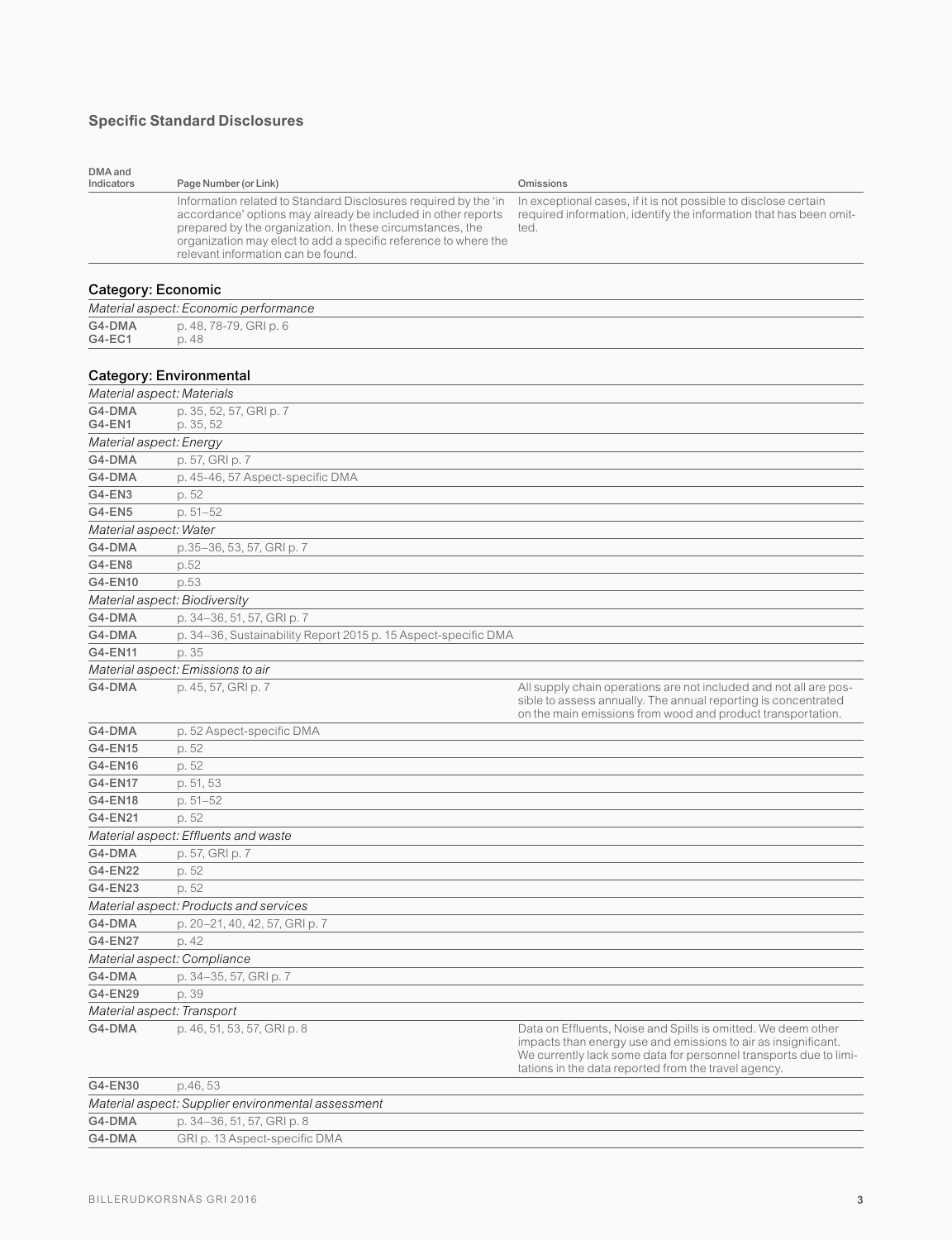## **Specific Standard Disclosures**

| DMA and<br>Indicators      | Page Number (or Link)                                                                                                                                                                                                                                                                                 | Omissions                                                                                                                                                                                                                                                    |
|----------------------------|-------------------------------------------------------------------------------------------------------------------------------------------------------------------------------------------------------------------------------------------------------------------------------------------------------|--------------------------------------------------------------------------------------------------------------------------------------------------------------------------------------------------------------------------------------------------------------|
|                            | Information related to Standard Disclosures required by the 'in<br>accordance' options may already be included in other reports<br>prepared by the organization. In these circumstances, the<br>organization may elect to add a specific reference to where the<br>relevant information can be found. | In exceptional cases, if it is not possible to disclose certain<br>required information, identify the information that has been omit-<br>ted.                                                                                                                |
| Category: Economic         |                                                                                                                                                                                                                                                                                                       |                                                                                                                                                                                                                                                              |
|                            | Material aspect: Economic performance                                                                                                                                                                                                                                                                 |                                                                                                                                                                                                                                                              |
| G4-DMA<br>G4-EC1           | p. 48, 78-79, GRI p. 6<br>p. 48                                                                                                                                                                                                                                                                       |                                                                                                                                                                                                                                                              |
|                            | <b>Category: Environmental</b>                                                                                                                                                                                                                                                                        |                                                                                                                                                                                                                                                              |
| Material aspect: Materials |                                                                                                                                                                                                                                                                                                       |                                                                                                                                                                                                                                                              |
| G4-DMA<br>G4-EN1           | p. 35, 52, 57, GRI p. 7<br>p. 35, 52                                                                                                                                                                                                                                                                  |                                                                                                                                                                                                                                                              |
| Material aspect: Energy    |                                                                                                                                                                                                                                                                                                       |                                                                                                                                                                                                                                                              |
| G4-DMA                     | p. 57, GRI p. 7                                                                                                                                                                                                                                                                                       |                                                                                                                                                                                                                                                              |
| G4-DMA                     | p. 45-46, 57 Aspect-specific DMA                                                                                                                                                                                                                                                                      |                                                                                                                                                                                                                                                              |
| G4-EN3                     | p. 52                                                                                                                                                                                                                                                                                                 |                                                                                                                                                                                                                                                              |
| <b>G4-EN5</b>              | $p.51 - 52$                                                                                                                                                                                                                                                                                           |                                                                                                                                                                                                                                                              |
| Material aspect: Water     |                                                                                                                                                                                                                                                                                                       |                                                                                                                                                                                                                                                              |
| G4-DMA                     | p.35-36, 53, 57, GRI p. 7                                                                                                                                                                                                                                                                             |                                                                                                                                                                                                                                                              |
| G4-EN8                     | p.52                                                                                                                                                                                                                                                                                                  |                                                                                                                                                                                                                                                              |
| G4-EN10                    | p.53                                                                                                                                                                                                                                                                                                  |                                                                                                                                                                                                                                                              |
|                            | Material aspect: Biodiversity                                                                                                                                                                                                                                                                         |                                                                                                                                                                                                                                                              |
| G4-DMA                     | p. 34-36, 51, 57, GRI p. 7                                                                                                                                                                                                                                                                            |                                                                                                                                                                                                                                                              |
| G4-DMA                     | p. 34-36, Sustainability Report 2015 p. 15 Aspect-specific DMA                                                                                                                                                                                                                                        |                                                                                                                                                                                                                                                              |
| G4-EN11                    | p. 35                                                                                                                                                                                                                                                                                                 |                                                                                                                                                                                                                                                              |
|                            | Material aspect: Emissions to air                                                                                                                                                                                                                                                                     |                                                                                                                                                                                                                                                              |
| G4-DMA                     | p. 45, 57, GRI p. 7                                                                                                                                                                                                                                                                                   | All supply chain operations are not included and not all are pos-<br>sible to assess annually. The annual reporting is concentrated<br>on the main emissions from wood and product transportation.                                                           |
| G4-DMA                     | p. 52 Aspect-specific DMA                                                                                                                                                                                                                                                                             |                                                                                                                                                                                                                                                              |
| G4-EN15                    | p. 52                                                                                                                                                                                                                                                                                                 |                                                                                                                                                                                                                                                              |
| G4-EN16                    | p. 52                                                                                                                                                                                                                                                                                                 |                                                                                                                                                                                                                                                              |
| <b>G4-EN17</b>             | p. 51, 53                                                                                                                                                                                                                                                                                             |                                                                                                                                                                                                                                                              |
| G4-EN18                    | p. 51-52                                                                                                                                                                                                                                                                                              |                                                                                                                                                                                                                                                              |
| G4-EN21                    | p. 52                                                                                                                                                                                                                                                                                                 |                                                                                                                                                                                                                                                              |
|                            | Material aspect: Effluents and waste                                                                                                                                                                                                                                                                  |                                                                                                                                                                                                                                                              |
| G4-DMA                     | p. 57, GRI p. 7                                                                                                                                                                                                                                                                                       |                                                                                                                                                                                                                                                              |
| G4-EN22                    | p. 52                                                                                                                                                                                                                                                                                                 |                                                                                                                                                                                                                                                              |
| G4-EN23                    | p. 52                                                                                                                                                                                                                                                                                                 |                                                                                                                                                                                                                                                              |
|                            | Material aspect: Products and services                                                                                                                                                                                                                                                                |                                                                                                                                                                                                                                                              |
| G4-DMA                     | p. 20-21, 40, 42, 57, GRI p. 7                                                                                                                                                                                                                                                                        |                                                                                                                                                                                                                                                              |
| G4-EN27                    | p. 42                                                                                                                                                                                                                                                                                                 |                                                                                                                                                                                                                                                              |
|                            | Material aspect: Compliance                                                                                                                                                                                                                                                                           |                                                                                                                                                                                                                                                              |
| G4-DMA                     | p. 34-35, 57, GRI p. 7                                                                                                                                                                                                                                                                                |                                                                                                                                                                                                                                                              |
| G4-EN29                    | p. 39                                                                                                                                                                                                                                                                                                 |                                                                                                                                                                                                                                                              |
|                            | Material aspect: Transport                                                                                                                                                                                                                                                                            |                                                                                                                                                                                                                                                              |
| G4-DMA                     | p. 46, 51, 53, 57, GRI p. 8                                                                                                                                                                                                                                                                           | Data on Effluents, Noise and Spills is omitted. We deem other<br>impacts than energy use and emissions to air as insignificant.<br>We currently lack some data for personnel transports due to limi-<br>tations in the data reported from the travel agency. |
| GALEN30                    | nAB53                                                                                                                                                                                                                                                                                                 |                                                                                                                                                                                                                                                              |

| Material aspect: Supplier environmental assessment<br>p. 34–36, 51, 57, GRI p. 8 | G4-EN30 | p.46.53                       |
|----------------------------------------------------------------------------------|---------|-------------------------------|
|                                                                                  |         |                               |
|                                                                                  | G4-DMA  |                               |
|                                                                                  | G4-DMA  | GRI p. 13 Aspect-specific DMA |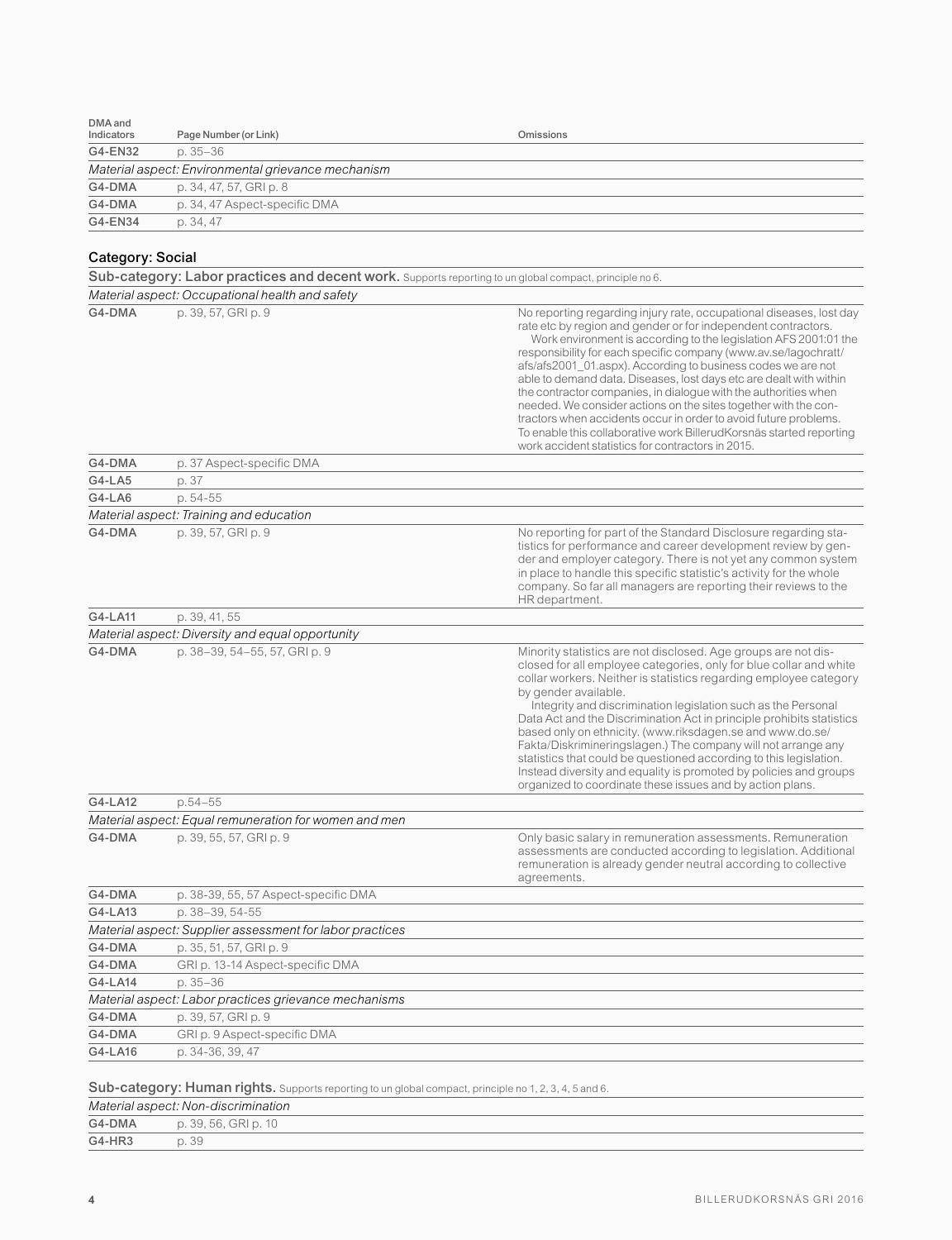| DMA and<br>Indicators | Page Number (or Link)                                                                                                                         | Omissions                                                                                                                                                                                                                                                                                                                                                                                                                                                                                                                                                                                                                                                                                                                                               |
|-----------------------|-----------------------------------------------------------------------------------------------------------------------------------------------|---------------------------------------------------------------------------------------------------------------------------------------------------------------------------------------------------------------------------------------------------------------------------------------------------------------------------------------------------------------------------------------------------------------------------------------------------------------------------------------------------------------------------------------------------------------------------------------------------------------------------------------------------------------------------------------------------------------------------------------------------------|
| G4-EN32               | $p.35 - 36$                                                                                                                                   |                                                                                                                                                                                                                                                                                                                                                                                                                                                                                                                                                                                                                                                                                                                                                         |
|                       | Material aspect: Environmental grievance mechanism                                                                                            |                                                                                                                                                                                                                                                                                                                                                                                                                                                                                                                                                                                                                                                                                                                                                         |
| G4-DMA                | p. 34, 47, 57, GRI p. 8                                                                                                                       |                                                                                                                                                                                                                                                                                                                                                                                                                                                                                                                                                                                                                                                                                                                                                         |
| G4-DMA                |                                                                                                                                               |                                                                                                                                                                                                                                                                                                                                                                                                                                                                                                                                                                                                                                                                                                                                                         |
| G4-EN34               | p. 34, 47 Aspect-specific DMA                                                                                                                 |                                                                                                                                                                                                                                                                                                                                                                                                                                                                                                                                                                                                                                                                                                                                                         |
|                       | p. 34, 47                                                                                                                                     |                                                                                                                                                                                                                                                                                                                                                                                                                                                                                                                                                                                                                                                                                                                                                         |
| Category: Social      |                                                                                                                                               |                                                                                                                                                                                                                                                                                                                                                                                                                                                                                                                                                                                                                                                                                                                                                         |
|                       | Sub-category: Labor practices and decent work. Supports reporting to un global compact, principle no 6.                                       |                                                                                                                                                                                                                                                                                                                                                                                                                                                                                                                                                                                                                                                                                                                                                         |
|                       | Material aspect: Occupational health and safety                                                                                               |                                                                                                                                                                                                                                                                                                                                                                                                                                                                                                                                                                                                                                                                                                                                                         |
| G4-DMA                | p. 39, 57, GRI p. 9                                                                                                                           | No reporting regarding injury rate, occupational diseases, lost day<br>rate etc by region and gender or for independent contractors.<br>Work environment is according to the legislation AFS 2001:01 the<br>responsibility for each specific company (www.av.se/lagochratt/<br>afs/afs2001_01.aspx). According to business codes we are not<br>able to demand data. Diseases, lost days etc are dealt with within<br>the contractor companies, in dialogue with the authorities when<br>needed. We consider actions on the sites together with the con-<br>tractors when accidents occur in order to avoid future problems.<br>To enable this collaborative work BillerudKorsnäs started reporting<br>work accident statistics for contractors in 2015. |
| G4-DMA                | p. 37 Aspect-specific DMA                                                                                                                     |                                                                                                                                                                                                                                                                                                                                                                                                                                                                                                                                                                                                                                                                                                                                                         |
| G4-LA5                | p. 37                                                                                                                                         |                                                                                                                                                                                                                                                                                                                                                                                                                                                                                                                                                                                                                                                                                                                                                         |
| G4-LA6                | p. 54-55                                                                                                                                      |                                                                                                                                                                                                                                                                                                                                                                                                                                                                                                                                                                                                                                                                                                                                                         |
|                       | Material aspect: Training and education                                                                                                       |                                                                                                                                                                                                                                                                                                                                                                                                                                                                                                                                                                                                                                                                                                                                                         |
| G4-DMA                | p. 39, 57, GRI p. 9                                                                                                                           | No reporting for part of the Standard Disclosure regarding sta-<br>tistics for performance and career development review by gen-<br>der and employer category. There is not yet any common system<br>in place to handle this specific statistic's activity for the whole<br>company. So far all managers are reporting their reviews to the<br>HR department.                                                                                                                                                                                                                                                                                                                                                                                           |
| G4-LA11               | p. 39, 41, 55                                                                                                                                 |                                                                                                                                                                                                                                                                                                                                                                                                                                                                                                                                                                                                                                                                                                                                                         |
|                       | Material aspect: Diversity and equal opportunity                                                                                              |                                                                                                                                                                                                                                                                                                                                                                                                                                                                                                                                                                                                                                                                                                                                                         |
| G4-DMA                | p. 38-39, 54-55, 57, GRI p. 9                                                                                                                 | Minority statistics are not disclosed. Age groups are not dis-<br>closed for all employee categories, only for blue collar and white<br>collar workers. Neither is statistics regarding employee category<br>by gender available.<br>Integrity and discrimination legislation such as the Personal<br>Data Act and the Discrimination Act in principle prohibits statistics<br>based only on ethnicity. (www.riksdagen.se and www.do.se/<br>Fakta/Diskrimineringslagen.) The company will not arrange any<br>statistics that could be questioned according to this legislation.<br>Instead diversity and equality is promoted by policies and groups<br>organized to coordinate these issues and by action plans.                                       |
| G4-LA12               | $p.54 - 55$                                                                                                                                   |                                                                                                                                                                                                                                                                                                                                                                                                                                                                                                                                                                                                                                                                                                                                                         |
|                       | Material aspect: Equal remuneration for women and men                                                                                         |                                                                                                                                                                                                                                                                                                                                                                                                                                                                                                                                                                                                                                                                                                                                                         |
| G4-DMA                | p. 39, 55, 57, GRI p. 9                                                                                                                       | Only basic salary in remuneration assessments. Remuneration<br>assessments are conducted according to legislation. Additional<br>remuneration is already gender neutral according to collective<br>agreements.                                                                                                                                                                                                                                                                                                                                                                                                                                                                                                                                          |
| G4-DMA                | p. 38-39, 55, 57 Aspect-specific DMA                                                                                                          |                                                                                                                                                                                                                                                                                                                                                                                                                                                                                                                                                                                                                                                                                                                                                         |
| G4-LA13               | p. 38-39, 54-55                                                                                                                               |                                                                                                                                                                                                                                                                                                                                                                                                                                                                                                                                                                                                                                                                                                                                                         |
|                       | Material aspect: Supplier assessment for labor practices                                                                                      |                                                                                                                                                                                                                                                                                                                                                                                                                                                                                                                                                                                                                                                                                                                                                         |
| G4-DMA                | p. 35, 51, 57, GRI p. 9                                                                                                                       |                                                                                                                                                                                                                                                                                                                                                                                                                                                                                                                                                                                                                                                                                                                                                         |
| G4-DMA                | GRI p. 13-14 Aspect-specific DMA                                                                                                              |                                                                                                                                                                                                                                                                                                                                                                                                                                                                                                                                                                                                                                                                                                                                                         |
| G4-LA14               | p. 35-36                                                                                                                                      |                                                                                                                                                                                                                                                                                                                                                                                                                                                                                                                                                                                                                                                                                                                                                         |
|                       | Material aspect: Labor practices grievance mechanisms                                                                                         |                                                                                                                                                                                                                                                                                                                                                                                                                                                                                                                                                                                                                                                                                                                                                         |
| G4-DMA                | p. 39, 57, GRI p. 9                                                                                                                           |                                                                                                                                                                                                                                                                                                                                                                                                                                                                                                                                                                                                                                                                                                                                                         |
| G4-DMA                | GRI p. 9 Aspect-specific DMA                                                                                                                  |                                                                                                                                                                                                                                                                                                                                                                                                                                                                                                                                                                                                                                                                                                                                                         |
| G4-LA16               | p. 34-36, 39, 47                                                                                                                              |                                                                                                                                                                                                                                                                                                                                                                                                                                                                                                                                                                                                                                                                                                                                                         |
|                       | Sub-category: Human rights. Supports reporting to un global compact, principle no 1, 2, 3, 4, 5 and 6.<br>Material aspect: Non-discrimination |                                                                                                                                                                                                                                                                                                                                                                                                                                                                                                                                                                                                                                                                                                                                                         |

### G4-DMA p. 39, 56, GRI p. 10 G4-HR3 p. 39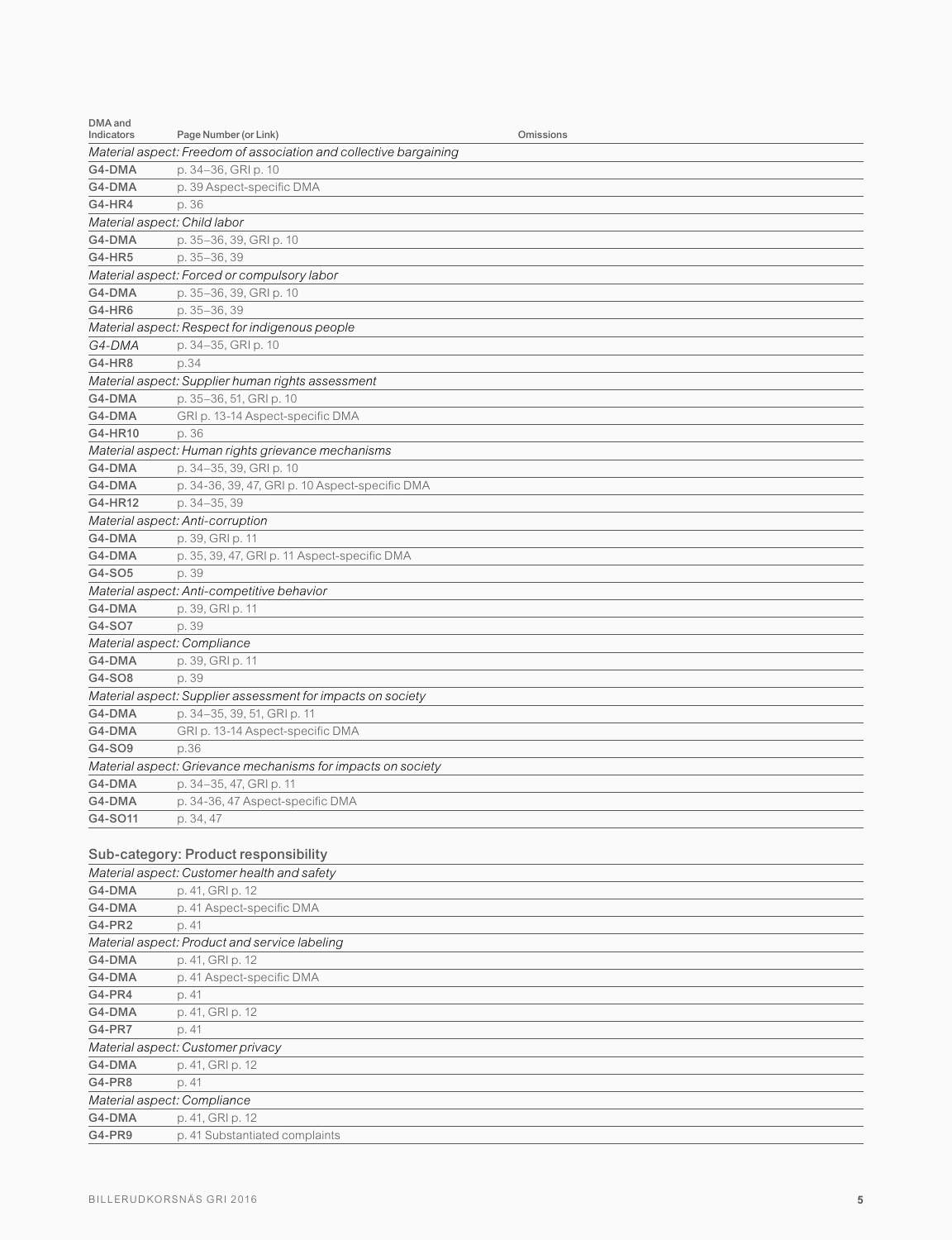| DMA and<br>Indicators        | Page Number (or Link)<br>Omissions                                |  |  |  |  |  |
|------------------------------|-------------------------------------------------------------------|--|--|--|--|--|
|                              | Material aspect: Freedom of association and collective bargaining |  |  |  |  |  |
| G4-DMA                       | p. 34-36, GRI p. 10                                               |  |  |  |  |  |
| G4-DMA                       | p. 39 Aspect-specific DMA                                         |  |  |  |  |  |
| <b>G4-HR4</b>                | p. 36                                                             |  |  |  |  |  |
| Material aspect: Child labor |                                                                   |  |  |  |  |  |
| G4-DMA                       | p. 35-36, 39, GRI p. 10                                           |  |  |  |  |  |
| <b>G4-HR5</b>                | p. 35-36.39                                                       |  |  |  |  |  |
|                              | Material aspect: Forced or compulsory labor                       |  |  |  |  |  |
| G4-DMA                       | p. 35-36, 39, GRI p. 10                                           |  |  |  |  |  |
| G4-HR6                       | p. 35-36, 39                                                      |  |  |  |  |  |
|                              | Material aspect: Respect for indigenous people                    |  |  |  |  |  |
| G4-DMA                       | p. 34-35, GRI p. 10                                               |  |  |  |  |  |
| <b>G4-HR8</b>                | p.34                                                              |  |  |  |  |  |
|                              | Material aspect: Supplier human rights assessment                 |  |  |  |  |  |
| G4-DMA                       | p. 35-36, 51, GRI p. 10                                           |  |  |  |  |  |
| G4-DMA                       | GRI p. 13-14 Aspect-specific DMA                                  |  |  |  |  |  |
| G4-HR10                      | p. 36                                                             |  |  |  |  |  |
|                              | Material aspect: Human rights grievance mechanisms                |  |  |  |  |  |
| G4-DMA                       | p. 34-35, 39, GRI p. 10                                           |  |  |  |  |  |
| G4-DMA                       | p. 34-36, 39, 47, GRI p. 10 Aspect-specific DMA                   |  |  |  |  |  |
| G4-HR12                      | p. 34-35, 39                                                      |  |  |  |  |  |
|                              | Material aspect: Anti-corruption                                  |  |  |  |  |  |
| G4-DMA                       | p. 39, GRI p. 11                                                  |  |  |  |  |  |
| G4-DMA                       | p. 35, 39, 47, GRI p. 11 Aspect-specific DMA                      |  |  |  |  |  |
| G4-SO5                       | p. 39                                                             |  |  |  |  |  |
|                              | Material aspect: Anti-competitive behavior                        |  |  |  |  |  |
| G4-DMA                       | p. 39, GRI p. 11                                                  |  |  |  |  |  |
| G4-SO7                       | p. 39                                                             |  |  |  |  |  |
| Material aspect: Compliance  |                                                                   |  |  |  |  |  |
| G4-DMA                       | p. 39, GRI p. 11                                                  |  |  |  |  |  |
| G4-SO8                       | p. 39                                                             |  |  |  |  |  |
|                              | Material aspect: Supplier assessment for impacts on society       |  |  |  |  |  |
| G4-DMA                       | p. 34-35, 39, 51, GRI p. 11                                       |  |  |  |  |  |
| G4-DMA                       | GRI p. 13-14 Aspect-specific DMA                                  |  |  |  |  |  |
| G4-SO9                       | p.36                                                              |  |  |  |  |  |
|                              | Material aspect: Grievance mechanisms for impacts on society      |  |  |  |  |  |
| G4-DMA                       | p. 34-35, 47, GRI p. 11                                           |  |  |  |  |  |
| G4-DMA                       | p. 34-36, 47 Aspect-specific DMA                                  |  |  |  |  |  |
| G4-SO11                      | p. 34, 47                                                         |  |  |  |  |  |
|                              |                                                                   |  |  |  |  |  |

## Sub-category: Product responsibility

|               | Material aspect: Customer health and safety   |
|---------------|-----------------------------------------------|
| G4-DMA        | p. 41, GRI p. 12                              |
| G4-DMA        | p. 41 Aspect-specific DMA                     |
| <b>G4-PR2</b> | p. 41                                         |
|               | Material aspect: Product and service labeling |
| G4-DMA        | p. 41, GRI p. 12                              |
| G4-DMA        | p. 41 Aspect-specific DMA                     |
| G4-PR4        | p. 41                                         |
| G4-DMA        | p. 41, GRI p. 12                              |
| <b>G4-PR7</b> | p. 41                                         |
|               | Material aspect: Customer privacy             |
| G4-DMA        | p. 41, GRI p. 12                              |
| G4-PR8        | p. 41                                         |
|               | Material aspect: Compliance                   |
| G4-DMA        | p. 41, GRI p. 12                              |
| G4-PR9        | p. 41 Substantiated complaints                |
|               |                                               |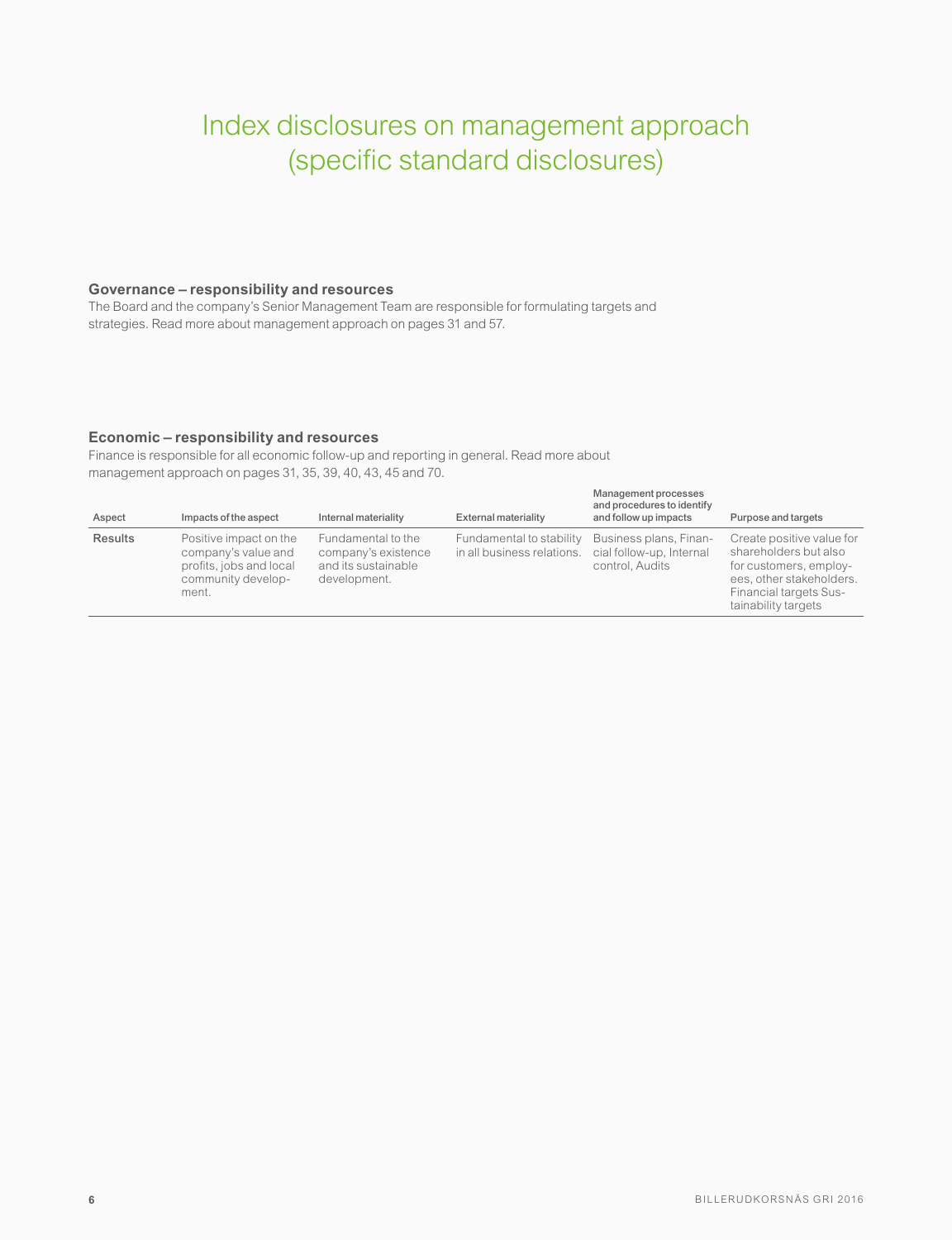# Index disclosures on management approach (specific standard disclosures)

#### **Governance – responsibility and resources**

The Board and the company's Senior Management Team are responsible for formulating targets and strategies. Read more about management approach on pages 31 and 57.

#### **Economic – responsibility and resources**

Finance is responsible for all economic follow-up and reporting in general. Read more about management approach on pages 31, 35, 39, 40, 43, 45 and 70.

| Aspect         | Impacts of the aspect                                                                                   | Internal materiality                                                             | <b>External materiality</b>                            | Management processes<br>and procedures to identify<br>and follow up impacts | Purpose and targets                                                                                                                                              |
|----------------|---------------------------------------------------------------------------------------------------------|----------------------------------------------------------------------------------|--------------------------------------------------------|-----------------------------------------------------------------------------|------------------------------------------------------------------------------------------------------------------------------------------------------------------|
| <b>Results</b> | Positive impact on the<br>company's value and<br>profits, jobs and local<br>community develop-<br>ment. | Fundamental to the<br>company's existence<br>and its sustainable<br>development. | Fundamental to stability<br>in all business relations. | Business plans, Finan-<br>cial follow-up, Internal<br>control, Audits       | Create positive value for<br>shareholders but also<br>for customers, employ-<br>ees, other stakeholders.<br><b>Financial targets Sus-</b><br>tainability targets |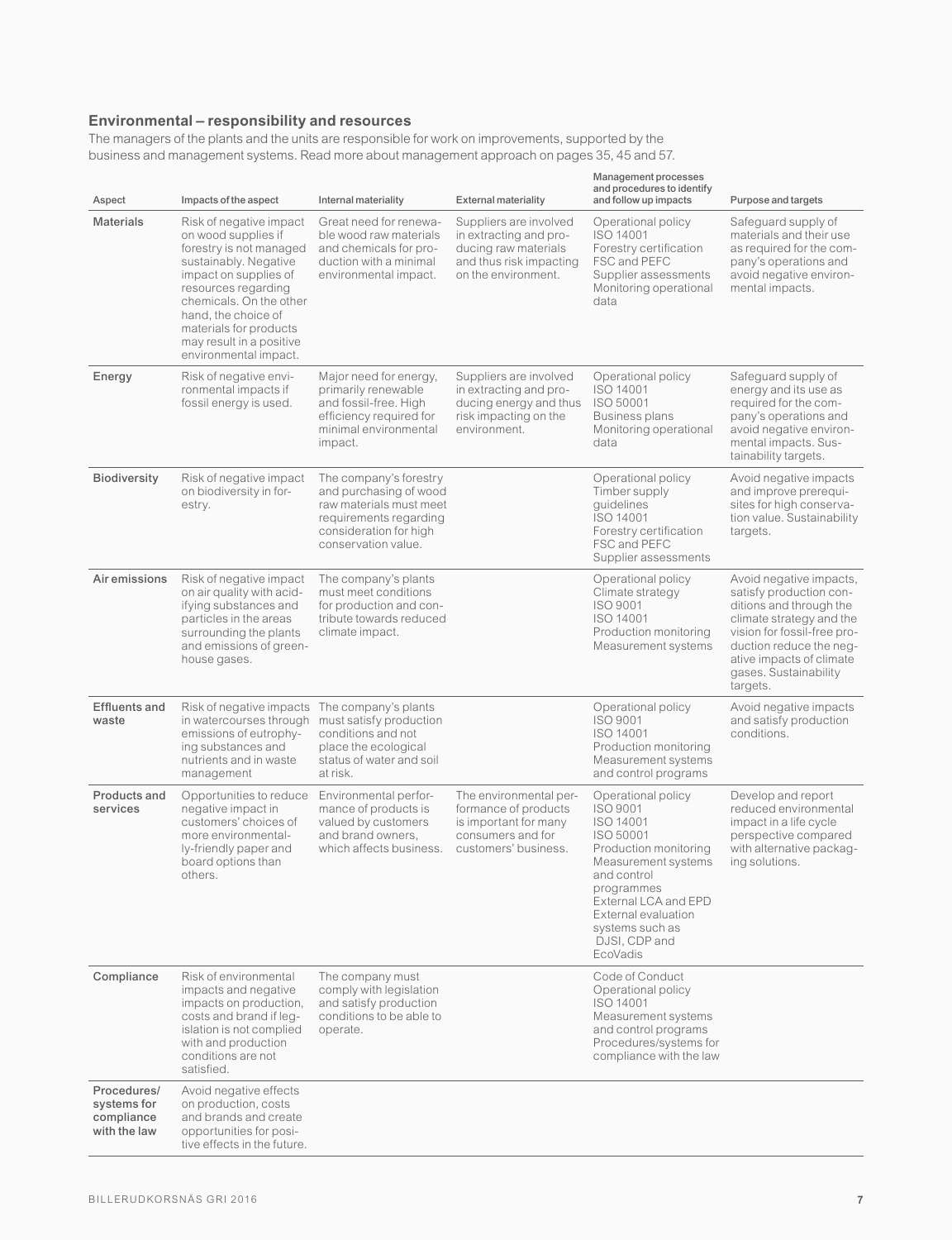#### **Environmental – responsibility and resources**

The managers of the plants and the units are responsible for work on improvements, supported by the business and management systems. Read more about management approach on pages 35, 45 and 57.

| Aspect                                                   | Impacts of the aspect                                                                                                                                                                                                                                                               | Internal materiality                                                                                                                                   | <b>External materiality</b>                                                                                                | Management processes<br>and procedures to identify<br>and follow up impacts                                                                                                                                                                 | Purpose and targets                                                                                                                                                                                                                  |
|----------------------------------------------------------|-------------------------------------------------------------------------------------------------------------------------------------------------------------------------------------------------------------------------------------------------------------------------------------|--------------------------------------------------------------------------------------------------------------------------------------------------------|----------------------------------------------------------------------------------------------------------------------------|---------------------------------------------------------------------------------------------------------------------------------------------------------------------------------------------------------------------------------------------|--------------------------------------------------------------------------------------------------------------------------------------------------------------------------------------------------------------------------------------|
| <b>Materials</b>                                         | Risk of negative impact<br>on wood supplies if<br>forestry is not managed<br>sustainably. Negative<br>impact on supplies of<br>resources regarding<br>chemicals. On the other<br>hand, the choice of<br>materials for products<br>may result in a positive<br>environmental impact. | Great need for renewa-<br>ble wood raw materials<br>and chemicals for pro-<br>duction with a minimal<br>environmental impact.                          | Suppliers are involved<br>in extracting and pro-<br>ducing raw materials<br>and thus risk impacting<br>on the environment. | Operational policy<br>ISO 14001<br>Forestry certification<br>FSC and PEFC<br>Supplier assessments<br>Monitoring operational<br>data                                                                                                         | Safeguard supply of<br>materials and their use<br>as required for the com-<br>pany's operations and<br>avoid negative environ-<br>mental impacts.                                                                                    |
| Energy                                                   | Risk of negative envi-<br>ronmental impacts if<br>fossil energy is used.                                                                                                                                                                                                            | Major need for energy,<br>primarily renewable<br>and fossil-free. High<br>efficiency required for<br>minimal environmental<br>impact.                  | Suppliers are involved<br>in extracting and pro-<br>ducing energy and thus<br>risk impacting on the<br>environment.        | Operational policy<br>ISO 14001<br>ISO 50001<br>Business plans<br>Monitoring operational<br>data                                                                                                                                            | Safeguard supply of<br>energy and its use as<br>required for the com-<br>pany's operations and<br>avoid negative environ-<br>mental impacts. Sus-<br>tainability targets.                                                            |
| <b>Biodiversity</b>                                      | Risk of negative impact<br>on biodiversity in for-<br>estry.                                                                                                                                                                                                                        | The company's forestry<br>and purchasing of wood<br>raw materials must meet<br>requirements regarding<br>consideration for high<br>conservation value. |                                                                                                                            | Operational policy<br>Timber supply<br>auidelines<br>ISO 14001<br>Forestry certification<br>FSC and PEFC<br>Supplier assessments                                                                                                            | Avoid negative impacts<br>and improve prerequi-<br>sites for high conserva-<br>tion value. Sustainability<br>targets.                                                                                                                |
| Air emissions                                            | Risk of negative impact<br>on air quality with acid-<br>ifying substances and<br>particles in the areas<br>surrounding the plants<br>and emissions of green-<br>house gases.                                                                                                        | The company's plants<br>must meet conditions<br>for production and con-<br>tribute towards reduced<br>climate impact.                                  |                                                                                                                            | Operational policy<br>Climate strategy<br>ISO 9001<br>ISO 14001<br>Production monitoring<br>Measurement systems                                                                                                                             | Avoid negative impacts,<br>satisfy production con-<br>ditions and through the<br>climate strategy and the<br>vision for fossil-free pro-<br>duction reduce the neg-<br>ative impacts of climate<br>gases. Sustainability<br>targets. |
| <b>Effluents and</b><br>waste                            | Risk of negative impacts The company's plants<br>in watercourses through must satisfy production<br>emissions of eutrophy-<br>ing substances and<br>nutrients and in waste<br>management                                                                                            | conditions and not<br>place the ecological<br>status of water and soil<br>at risk.                                                                     |                                                                                                                            | Operational policy<br>ISO 9001<br>ISO 14001<br>Production monitoring<br>Measurement systems<br>and control programs                                                                                                                         | Avoid negative impacts<br>and satisfy production<br>conditions.                                                                                                                                                                      |
| Products and<br>services                                 | Opportunities to reduce<br>negative impact in<br>customers' choices of<br>more environmental-<br>ly-friendly paper and<br>board options than<br>others.                                                                                                                             | Environmental perfor-<br>mance of products is<br>valued by customers<br>and brand owners,<br>which affects business.                                   | The environmental per-<br>formance of products<br>is important for many<br>consumers and for<br>customers' business.       | Operational policy<br><b>ISO 9001</b><br>ISO 14001<br>ISO 50001<br>Production monitoring<br>Measurement systems<br>and control<br>programmes<br>External LCA and EPD<br>External evaluation<br>systems such as<br>DJSI, CDP and<br>EcoVadis | Develop and report<br>reduced environmental<br>impact in a life cycle<br>perspective compared<br>with alternative packag-<br>ing solutions.                                                                                          |
| Compliance                                               | Risk of environmental<br>impacts and negative<br>impacts on production,<br>costs and brand if leg-<br>islation is not complied<br>with and production<br>conditions are not<br>satisfied.                                                                                           | The company must<br>comply with legislation<br>and satisfy production<br>conditions to be able to<br>operate.                                          |                                                                                                                            | Code of Conduct<br>Operational policy<br>ISO 14001<br>Measurement systems<br>and control programs<br>Procedures/systems for<br>compliance with the law                                                                                      |                                                                                                                                                                                                                                      |
| Procedures/<br>systems for<br>compliance<br>with the law | Avoid negative effects<br>on production, costs<br>and brands and create<br>opportunities for posi-<br>tive effects in the future.                                                                                                                                                   |                                                                                                                                                        |                                                                                                                            |                                                                                                                                                                                                                                             |                                                                                                                                                                                                                                      |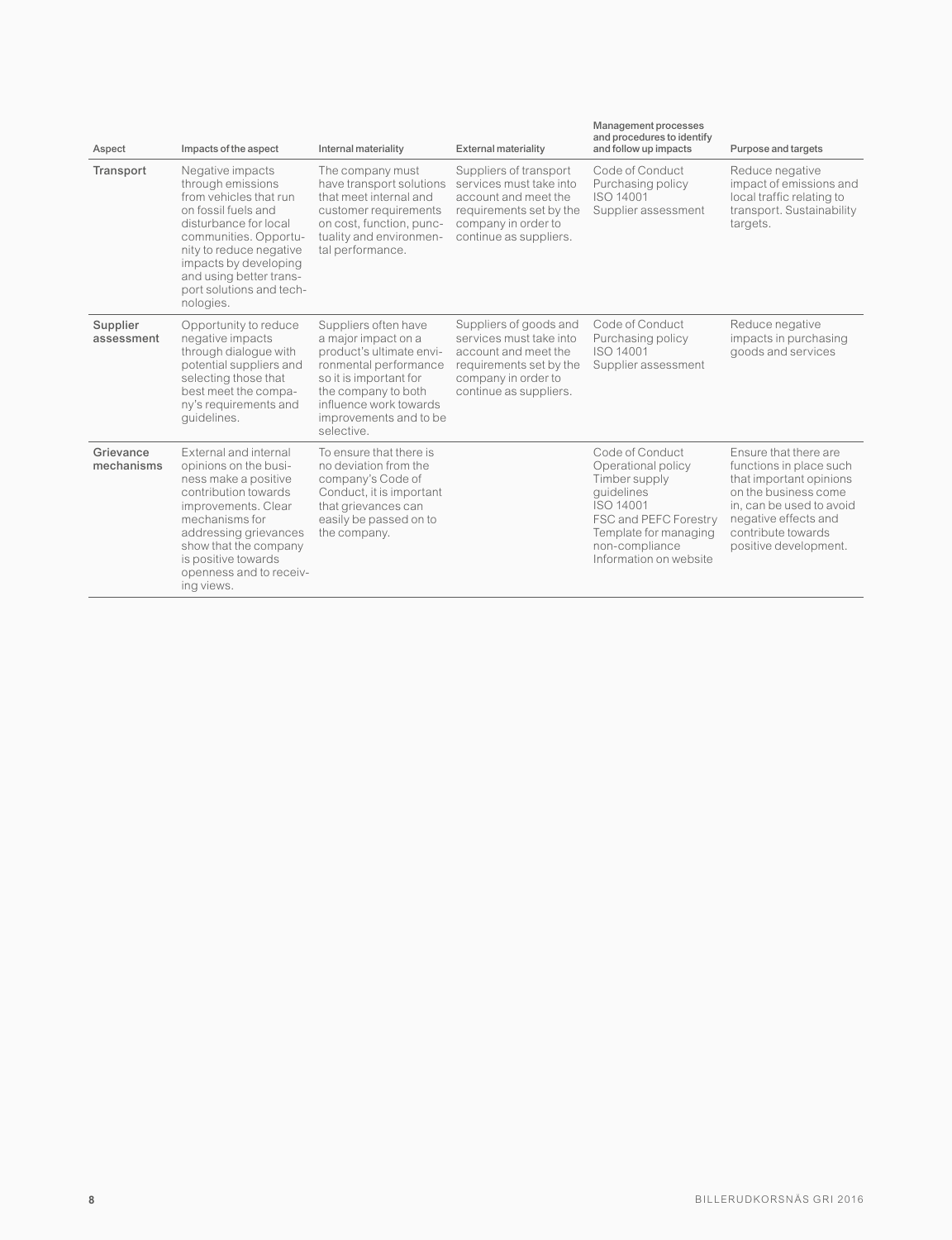| Aspect                  | Impacts of the aspect                                                                                                                                                                                                                                            | Internal materiality                                                                                                                                                                                                | <b>External materiality</b>                                                                                                                           | <u>Manaychicht</u> processes<br>and procedures to identify<br>and follow up impacts                                                                                             | Purpose and targets                                                                                                                                                                                    |
|-------------------------|------------------------------------------------------------------------------------------------------------------------------------------------------------------------------------------------------------------------------------------------------------------|---------------------------------------------------------------------------------------------------------------------------------------------------------------------------------------------------------------------|-------------------------------------------------------------------------------------------------------------------------------------------------------|---------------------------------------------------------------------------------------------------------------------------------------------------------------------------------|--------------------------------------------------------------------------------------------------------------------------------------------------------------------------------------------------------|
| Transport               | Negative impacts<br>through emissions<br>from vehicles that run<br>on fossil fuels and<br>disturbance for local<br>communities. Opportu-<br>nity to reduce negative<br>impacts by developing<br>and using better trans-<br>port solutions and tech-<br>nologies. | The company must<br>have transport solutions<br>that meet internal and<br>customer requirements<br>on cost, function, punc-<br>tuality and environmen-<br>tal performance.                                          | Suppliers of transport<br>services must take into<br>account and meet the<br>requirements set by the<br>company in order to<br>continue as suppliers. | Code of Conduct<br>Purchasing policy<br>ISO 14001<br>Supplier assessment                                                                                                        | Reduce negative<br>impact of emissions and<br>local traffic relating to<br>transport. Sustainability<br>targets.                                                                                       |
| Supplier<br>assessment  | Opportunity to reduce<br>negative impacts<br>through dialogue with<br>potential suppliers and<br>selecting those that<br>best meet the compa-<br>ny's requirements and<br>quidelines.                                                                            | Suppliers often have<br>a major impact on a<br>product's ultimate envi-<br>ronmental performance<br>so it is important for<br>the company to both<br>influence work towards<br>improvements and to be<br>selective. | Suppliers of goods and<br>services must take into<br>account and meet the<br>requirements set by the<br>company in order to<br>continue as suppliers. | Code of Conduct<br>Purchasing policy<br>ISO 14001<br>Supplier assessment                                                                                                        | Reduce negative<br>impacts in purchasing<br>goods and services                                                                                                                                         |
| Grievance<br>mechanisms | External and internal<br>opinions on the busi-<br>ness make a positive<br>contribution towards<br>improvements, Clear<br>mechanisms for<br>addressing grievances<br>show that the company<br>is positive towards<br>openness and to receiv-<br>ing views.        | To ensure that there is<br>no deviation from the<br>company's Code of<br>Conduct, it is important<br>that grievances can<br>easily be passed on to<br>the company.                                                  |                                                                                                                                                       | Code of Conduct<br>Operational policy<br>Timber supply<br>quidelines<br>ISO 14001<br>FSC and PEFC Forestry<br>Template for managing<br>non-compliance<br>Information on website | Ensure that there are<br>functions in place such<br>that important opinions<br>on the business come<br>in, can be used to avoid<br>negative effects and<br>contribute towards<br>positive development. |

Management processes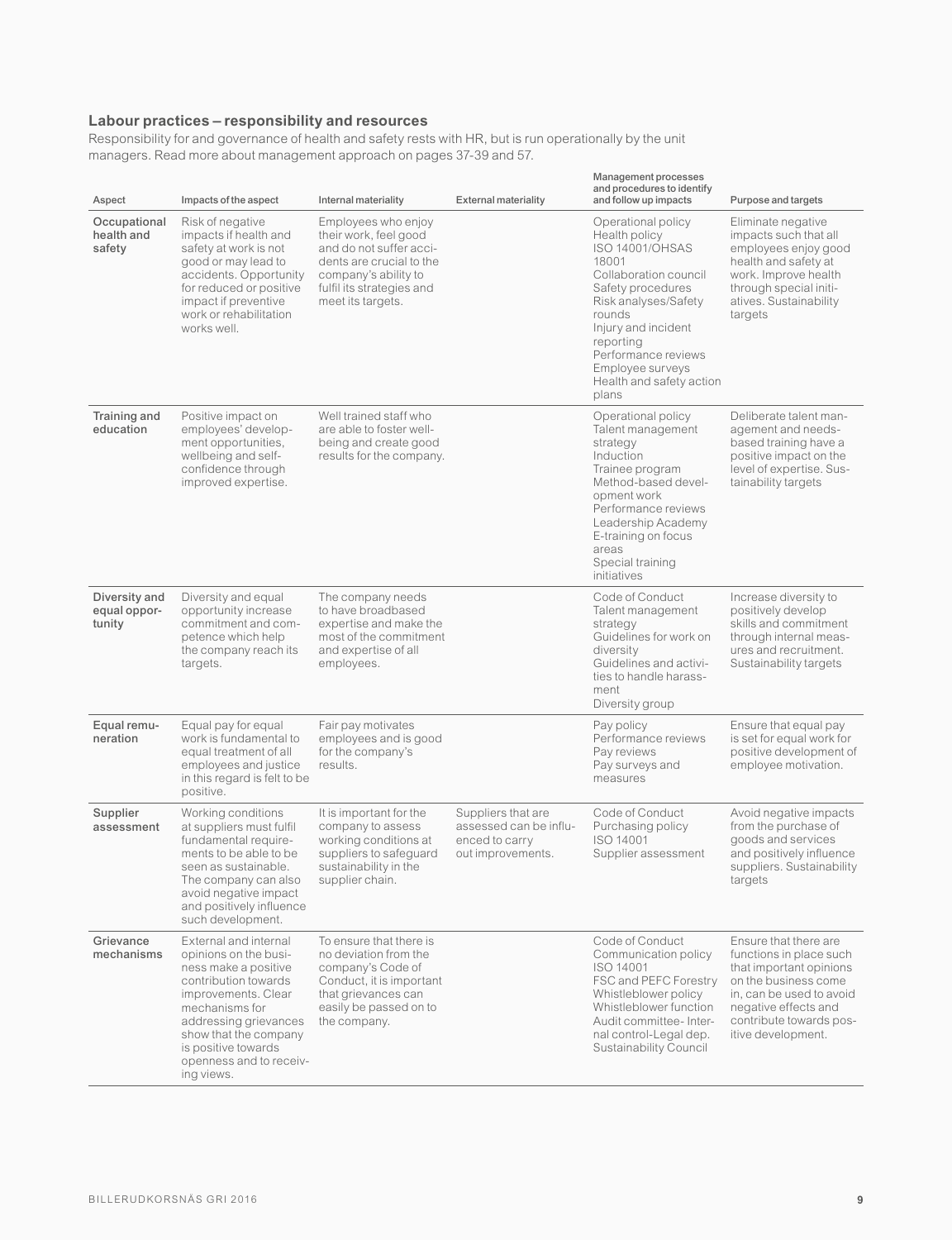#### **Labour practices – responsibility and resources**

Responsibility for and governance of health and safety rests with HR, but is run operationally by the unit managers. Read more about management approach on pages 37-39 and 57.

| Aspect                                  | Impacts of the aspect                                                                                                                                                                                                                                     | Internal materiality                                                                                                                                                          | <b>External materiality</b>                                                         | <b>Management processes</b><br>and procedures to identify<br>and follow up impacts                                                                                                                                                                                         | Purpose and targets                                                                                                                                                                                      |
|-----------------------------------------|-----------------------------------------------------------------------------------------------------------------------------------------------------------------------------------------------------------------------------------------------------------|-------------------------------------------------------------------------------------------------------------------------------------------------------------------------------|-------------------------------------------------------------------------------------|----------------------------------------------------------------------------------------------------------------------------------------------------------------------------------------------------------------------------------------------------------------------------|----------------------------------------------------------------------------------------------------------------------------------------------------------------------------------------------------------|
| Occupational<br>health and<br>safety    | Risk of negative<br>impacts if health and<br>safety at work is not<br>good or may lead to<br>accidents. Opportunity<br>for reduced or positive<br>impact if preventive<br>work or rehabilitation<br>works well                                            | Employees who enjoy<br>their work, feel good<br>and do not suffer acci-<br>dents are crucial to the<br>company's ability to<br>fulfil its strategies and<br>meet its targets. |                                                                                     | Operational policy<br>Health policy<br><b>ISO 14001/OHSAS</b><br>18001<br>Collaboration council<br>Safety procedures<br>Risk analyses/Safety<br>rounds<br>Injury and incident<br>reporting<br>Performance reviews<br>Employee surveys<br>Health and safety action<br>plans | Eliminate negative<br>impacts such that all<br>employees enjoy good<br>health and safety at<br>work. Improve health<br>through special initi-<br>atives. Sustainability<br>targets                       |
| Training and<br>education               | Positive impact on<br>employees' develop-<br>ment opportunities,<br>wellbeing and self-<br>confidence through<br>improved expertise.                                                                                                                      | Well trained staff who<br>are able to foster well-<br>being and create good<br>results for the company.                                                                       |                                                                                     | Operational policy<br>Talent management<br>strategy<br>Induction<br>Trainee program<br>Method-based devel-<br>opment work<br>Performance reviews<br>Leadership Academy<br>E-training on focus<br>areas<br>Special training<br>initiatives                                  | Deliberate talent man-<br>agement and needs-<br>based training have a<br>positive impact on the<br>level of expertise. Sus-<br>tainability targets                                                       |
| Diversity and<br>equal oppor-<br>tunity | Diversity and equal<br>opportunity increase<br>commitment and com-<br>petence which help<br>the company reach its<br>targets.                                                                                                                             | The company needs<br>to have broadbased<br>expertise and make the<br>most of the commitment<br>and expertise of all<br>employees.                                             |                                                                                     | Code of Conduct<br>Talent management<br>strategy<br>Guidelines for work on<br>diversity<br>Guidelines and activi-<br>ties to handle harass-<br>ment<br>Diversity group                                                                                                     | Increase diversity to<br>positively develop<br>skills and commitment<br>through internal meas-<br>ures and recruitment.<br>Sustainability targets                                                        |
| Equal remu-<br>neration                 | Equal pay for equal<br>work is fundamental to<br>equal treatment of all<br>employees and justice<br>in this regard is felt to be<br>positive.                                                                                                             | Fair pay motivates<br>employees and is good<br>for the company's<br>results.                                                                                                  |                                                                                     | Pay policy<br>Performance reviews<br>Pay reviews<br>Pay surveys and<br>measures                                                                                                                                                                                            | Ensure that equal pay<br>is set for equal work for<br>positive development of<br>employee motivation.                                                                                                    |
| Supplier<br>assessment                  | Working conditions<br>at suppliers must fulfil<br>fundamental require-<br>ments to be able to be<br>seen as sustainable.<br>The company can also<br>avoid negative impact<br>and positively influence<br>such development.                                | It is important for the<br>company to assess<br>working conditions at<br>suppliers to safeguard<br>sustainability in the<br>supplier chain.                                   | Suppliers that are<br>assessed can be influ-<br>enced to carry<br>out improvements. | Code of Conduct<br>Purchasing policy<br>ISO 14001<br>Supplier assessment                                                                                                                                                                                                   | Avoid negative impacts<br>from the purchase of<br>goods and services<br>and positively influence<br>suppliers. Sustainability<br>targets                                                                 |
| Grievance<br>mechanisms                 | External and internal<br>opinions on the busi-<br>ness make a positive<br>contribution towards<br>improvements. Clear<br>mechanisms for<br>addressing grievances<br>show that the company<br>is positive towards<br>openness and to receiv-<br>ing views. | To ensure that there is<br>no deviation from the<br>company's Code of<br>Conduct, it is important<br>that grievances can<br>easily be passed on to<br>the company.            |                                                                                     | Code of Conduct<br>Communication policy<br>ISO 14001<br>FSC and PEFC Forestry<br>Whistleblower policy<br>Whistleblower function<br>Audit committee- Inter-<br>nal control-Legal dep.<br>Sustainability Council                                                             | Ensure that there are<br>functions in place such<br>that important opinions<br>on the business come<br>in, can be used to avoid<br>negative effects and<br>contribute towards pos-<br>itive development. |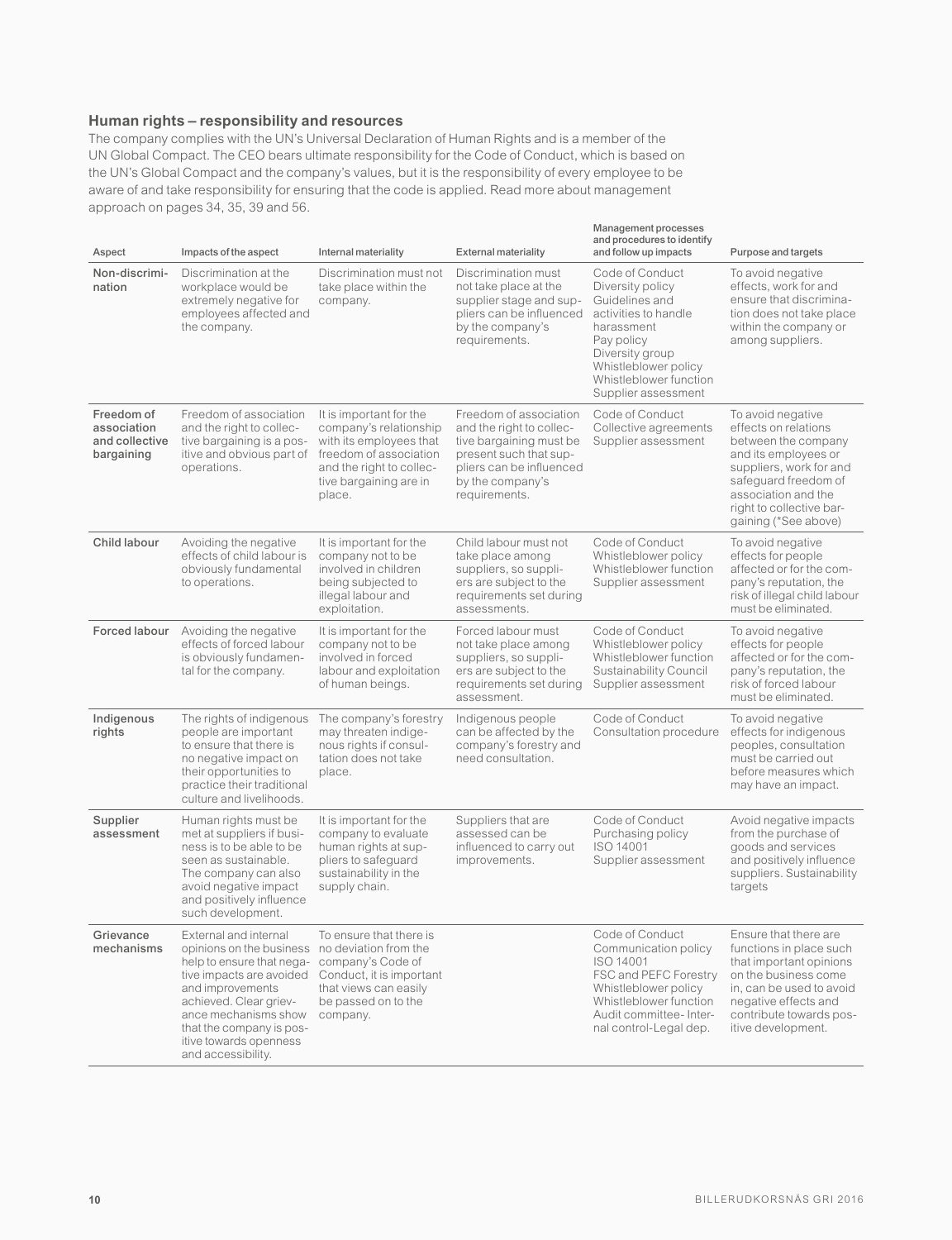#### **Human rights – responsibility and resources**

The company complies with the UN's Universal Declaration of Human Rights and is a member of the UN Global Compact. The CEO bears ultimate responsibility for the Code of Conduct, which is based on the UN's Global Compact and the company's values, but it is the responsibility of every employee to be aware of and take responsibility for ensuring that the code is applied. Read more about management approach on pages 34, 35, 39 and 56.

| Aspect                                                    | Impacts of the aspect                                                                                                                                                                                                                                                              | Internal materiality                                                                                                                                                   | <b>External materiality</b>                                                                                                                                              | ivialiay chicht processes<br>and procedures to identify<br>and follow up impacts                                                                                                                      | Purpose and targets                                                                                                                                                                                                    |
|-----------------------------------------------------------|------------------------------------------------------------------------------------------------------------------------------------------------------------------------------------------------------------------------------------------------------------------------------------|------------------------------------------------------------------------------------------------------------------------------------------------------------------------|--------------------------------------------------------------------------------------------------------------------------------------------------------------------------|-------------------------------------------------------------------------------------------------------------------------------------------------------------------------------------------------------|------------------------------------------------------------------------------------------------------------------------------------------------------------------------------------------------------------------------|
| Non-discrimi-<br>nation                                   | Discrimination at the<br>workplace would be<br>extremely negative for<br>employees affected and<br>the company.                                                                                                                                                                    | Discrimination must not<br>take place within the<br>company.                                                                                                           | Discrimination must<br>not take place at the<br>supplier stage and sup-<br>pliers can be influenced<br>by the company's<br>requirements.                                 | Code of Conduct<br>Diversity policy<br>Guidelines and<br>activities to handle<br>harassment<br>Pay policy<br>Diversity group<br>Whistleblower policy<br>Whistleblower function<br>Supplier assessment | To avoid negative<br>effects, work for and<br>ensure that discrimina-<br>tion does not take place<br>within the company or<br>among suppliers.                                                                         |
| Freedom of<br>association<br>and collective<br>bargaining | Freedom of association<br>and the right to collec-<br>tive bargaining is a pos-<br>itive and obvious part of<br>operations.                                                                                                                                                        | It is important for the<br>company's relationship<br>with its employees that<br>freedom of association<br>and the right to collec-<br>tive bargaining are in<br>place. | Freedom of association<br>and the right to collec-<br>tive bargaining must be<br>present such that sup-<br>pliers can be influenced<br>by the company's<br>requirements. | Code of Conduct<br>Collective agreements<br>Supplier assessment                                                                                                                                       | To avoid negative<br>effects on relations<br>between the company<br>and its employees or<br>suppliers, work for and<br>safeguard freedom of<br>association and the<br>right to collective bar-<br>gaining (*See above) |
| Child labour                                              | Avoiding the negative<br>effects of child labour is<br>obviously fundamental<br>to operations.                                                                                                                                                                                     | It is important for the<br>company not to be<br>involved in children<br>being subjected to<br>illegal labour and<br>exploitation.                                      | Child labour must not<br>take place among<br>suppliers, so suppli-<br>ers are subject to the<br>requirements set during<br>assessments.                                  | Code of Conduct<br>Whistleblower policy<br>Whistleblower function<br>Supplier assessment                                                                                                              | To avoid negative<br>effects for people<br>affected or for the com-<br>pany's reputation, the<br>risk of illegal child labour<br>must be eliminated.                                                                   |
| Forced labour                                             | Avoiding the negative<br>effects of forced labour<br>is obviously fundamen-<br>tal for the company.                                                                                                                                                                                | It is important for the<br>company not to be<br>involved in forced<br>labour and exploitation<br>of human beings.                                                      | Forced labour must<br>not take place among<br>suppliers, so suppli-<br>ers are subject to the<br>requirements set during<br>assessment.                                  | Code of Conduct<br>Whistleblower policy<br>Whistleblower function<br>Sustainability Council<br>Supplier assessment                                                                                    | To avoid negative<br>effects for people<br>affected or for the com-<br>pany's reputation, the<br>risk of forced labour<br>must be eliminated.                                                                          |
| Indigenous<br>rights                                      | The rights of indigenous<br>people are important<br>to ensure that there is<br>no negative impact on<br>their opportunities to<br>practice their traditional<br>culture and livelihoods.                                                                                           | The company's forestry<br>may threaten indige-<br>nous rights if consul-<br>tation does not take<br>place.                                                             | Indigenous people<br>can be affected by the<br>company's forestry and<br>need consultation.                                                                              | Code of Conduct<br>Consultation procedure                                                                                                                                                             | To avoid negative<br>effects for indigenous<br>peoples, consultation<br>must be carried out<br>before measures which<br>may have an impact.                                                                            |
| Supplier<br>assessment                                    | Human rights must be<br>met at suppliers if busi-<br>ness is to be able to be<br>seen as sustainable.<br>The company can also<br>avoid negative impact<br>and positively influence<br>such development.                                                                            | It is important for the<br>company to evaluate<br>human rights at sup-<br>pliers to safeguard<br>sustainability in the<br>supply chain.                                | Suppliers that are<br>assessed can be<br>influenced to carry out<br>improvements.                                                                                        | Code of Conduct<br>Purchasing policy<br>ISO 14001<br>Supplier assessment                                                                                                                              | Avoid negative impacts<br>from the purchase of<br>goods and services<br>and positively influence<br>suppliers. Sustainability<br>targets                                                                               |
| Grievance<br>mechanisms                                   | External and internal<br>opinions on the business no deviation from the<br>help to ensure that nega-<br>tive impacts are avoided<br>and improvements<br>achieved. Clear griev-<br>ance mechanisms show<br>that the company is pos-<br>itive towards openness<br>and accessibility. | To ensure that there is<br>company's Code of<br>Conduct, it is important<br>that views can easily<br>be passed on to the<br>company.                                   |                                                                                                                                                                          | Code of Conduct<br>Communication policy<br>ISO 14001<br>FSC and PEFC Forestry<br>Whistleblower policy<br>Whistleblower function<br>Audit committee- Inter-<br>nal control-Legal dep.                  | Ensure that there are<br>functions in place such<br>that important opinions<br>on the business come<br>in, can be used to avoid<br>negative effects and<br>contribute towards pos-<br>itive development.               |

Management processes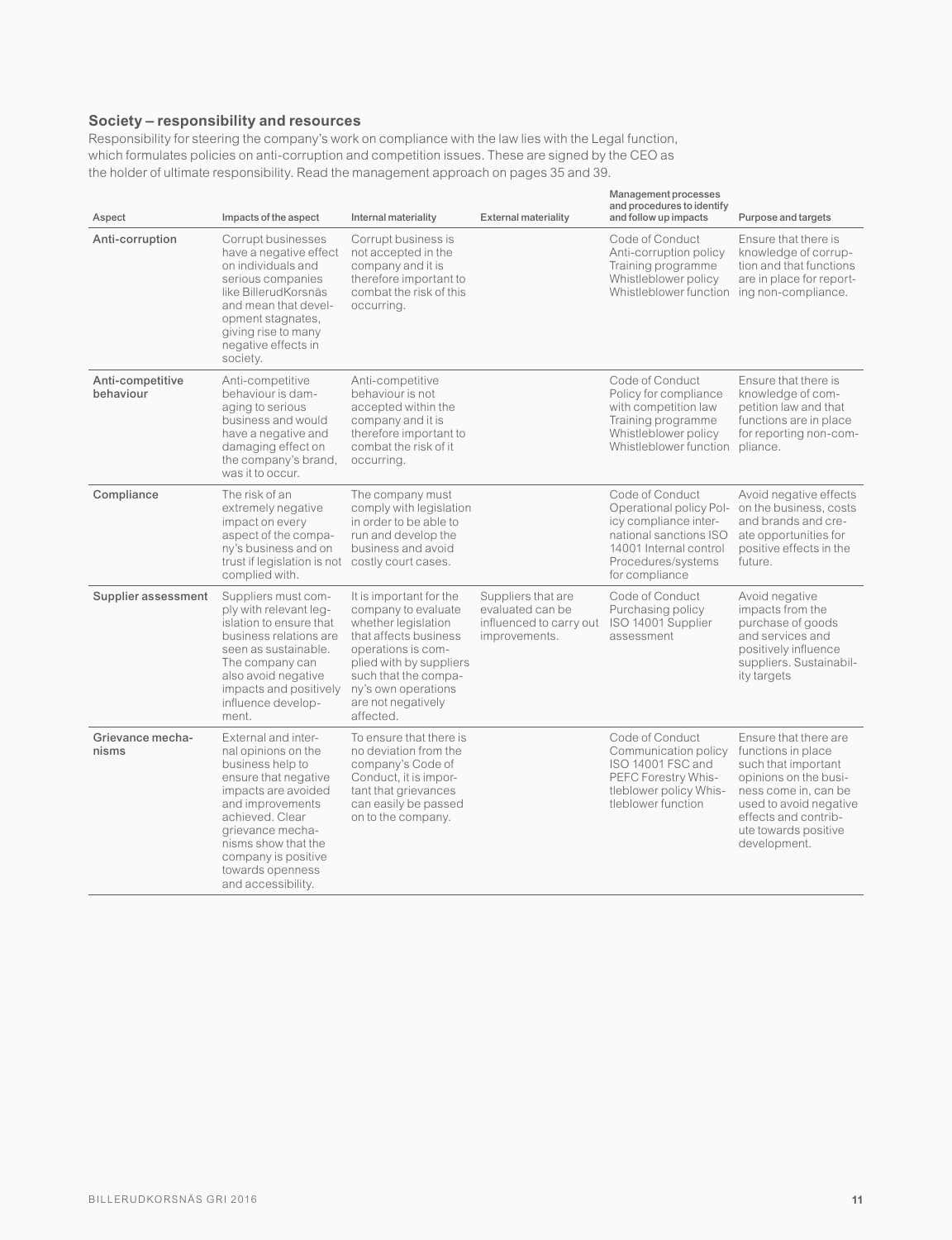#### **Society – responsibility and resources**

Responsibility for steering the company's work on compliance with the law lies with the Legal function, which formulates policies on anti-corruption and competition issues. These are signed by the CEO as the holder of ultimate responsibility. Read the management approach on pages 35 and 39.

| Aspect                        | Impacts of the aspect                                                                                                                                                                                                                                            | Internal materiality                                                                                                                                                                                                              | <b>External materiality</b>                                                        | Management processes<br>and procedures to identify<br>and follow up impacts                                                                                     | Purpose and targets                                                                                                                                                                                           |
|-------------------------------|------------------------------------------------------------------------------------------------------------------------------------------------------------------------------------------------------------------------------------------------------------------|-----------------------------------------------------------------------------------------------------------------------------------------------------------------------------------------------------------------------------------|------------------------------------------------------------------------------------|-----------------------------------------------------------------------------------------------------------------------------------------------------------------|---------------------------------------------------------------------------------------------------------------------------------------------------------------------------------------------------------------|
| Anti-corruption               | Corrupt businesses<br>have a negative effect<br>on individuals and<br>serious companies<br>like BillerudKorsnäs<br>and mean that devel-<br>opment stagnates,<br>giving rise to many<br>negative effects in<br>society.                                           | Corrupt business is<br>not accepted in the<br>company and it is<br>therefore important to<br>combat the risk of this<br>occurring.                                                                                                |                                                                                    | Code of Conduct<br>Anti-corruption policy<br>Training programme<br>Whistleblower policy<br>Whistleblower function ing non-compliance.                           | Ensure that there is<br>knowledge of corrup-<br>tion and that functions<br>are in place for report-                                                                                                           |
| Anti-competitive<br>behaviour | Anti-competitive<br>behaviour is dam-<br>aging to serious<br>business and would<br>have a negative and<br>damaging effect on<br>the company's brand,<br>was it to occur.                                                                                         | Anti-competitive<br>behaviour is not<br>accepted within the<br>company and it is<br>therefore important to<br>combat the risk of it<br>occurring.                                                                                 |                                                                                    | Code of Conduct<br>Policy for compliance<br>with competition law<br>Training programme<br>Whistleblower policy<br>Whistleblower function pliance.               | Ensure that there is<br>knowledge of com-<br>petition law and that<br>functions are in place<br>for reporting non-com-                                                                                        |
| Compliance                    | The risk of an<br>extremely negative<br>impact on every<br>aspect of the compa-<br>ny's business and on<br>trust if legislation is not costly court cases.<br>complied with.                                                                                     | The company must<br>comply with legislation<br>in order to be able to<br>run and develop the<br>business and avoid                                                                                                                |                                                                                    | Code of Conduct<br>Operational policy Pol-<br>icy compliance inter-<br>national sanctions ISO<br>14001 Internal control<br>Procedures/systems<br>for compliance | Avoid negative effects<br>on the business, costs<br>and brands and cre-<br>ate opportunities for<br>positive effects in the<br>future.                                                                        |
| Supplier assessment           | Suppliers must com-<br>ply with relevant leg-<br>islation to ensure that<br>business relations are<br>seen as sustainable.<br>The company can<br>also avoid negative<br>impacts and positively<br>influence develop-<br>ment.                                    | It is important for the<br>company to evaluate<br>whether legislation<br>that affects business<br>operations is com-<br>plied with by suppliers<br>such that the compa-<br>ny's own operations<br>are not negatively<br>affected. | Suppliers that are<br>evaluated can be<br>influenced to carry out<br>improvements. | Code of Conduct<br>Purchasing policy<br>ISO 14001 Supplier<br>assessment                                                                                        | Avoid negative<br>impacts from the<br>purchase of goods<br>and services and<br>positively influence<br>suppliers. Sustainabil-<br>ity targets                                                                 |
| Grievance mecha-<br>nisms     | External and inter-<br>nal opinions on the<br>business help to<br>ensure that negative<br>impacts are avoided<br>and improvements<br>achieved, Clear<br>grievance mecha-<br>nisms show that the<br>company is positive<br>towards openness<br>and accessibility. | To ensure that there is<br>no deviation from the<br>company's Code of<br>Conduct, it is impor-<br>tant that grievances<br>can easily be passed<br>on to the company.                                                              |                                                                                    | Code of Conduct<br>Communication policy<br>ISO 14001 FSC and<br>PEFC Forestry Whis-<br>tleblower policy Whis-<br>tleblower function                             | Ensure that there are<br>functions in place<br>such that important<br>opinions on the busi-<br>ness come in, can be<br>used to avoid negative<br>effects and contrib-<br>ute towards positive<br>development. |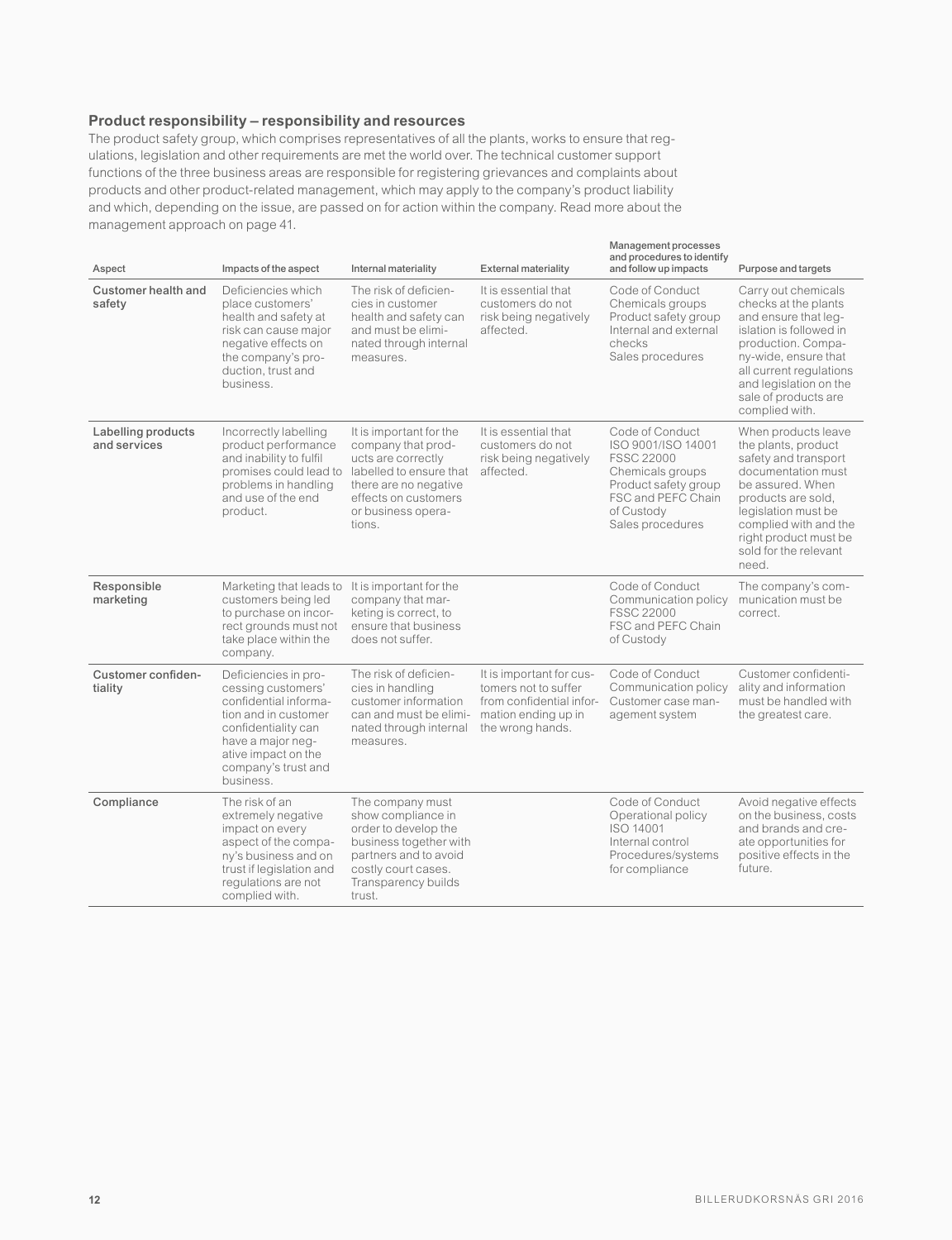#### **Product responsibility – responsibility and resources**

The product safety group, which comprises representatives of all the plants, works to ensure that regulations, legislation and other requirements are met the world over. The technical customer support functions of the three business areas are responsible for registering grievances and complaints about products and other product-related management, which may apply to the company's product liability and which, depending on the issue, are passed on for action within the company. Read more about the management approach on page 41.

| Aspect                             | Impacts of the aspect                                                                                                                                                                              | Internal materiality                                                                                                                                                                                   | <b>External materiality</b>                                                                                             | Management processes<br>and procedures to identify<br>and follow up impacts                                                                                    | Purpose and targets                                                                                                                                                                                                                           |
|------------------------------------|----------------------------------------------------------------------------------------------------------------------------------------------------------------------------------------------------|--------------------------------------------------------------------------------------------------------------------------------------------------------------------------------------------------------|-------------------------------------------------------------------------------------------------------------------------|----------------------------------------------------------------------------------------------------------------------------------------------------------------|-----------------------------------------------------------------------------------------------------------------------------------------------------------------------------------------------------------------------------------------------|
| Customer health and<br>safety      | Deficiencies which<br>place customers'<br>health and safety at<br>risk can cause major<br>negative effects on<br>the company's pro-<br>duction, trust and<br>business.                             | The risk of deficien-<br>cies in customer<br>health and safety can<br>and must be elimi-<br>nated through internal<br>measures.                                                                        | It is essential that<br>customers do not<br>risk being negatively<br>affected.                                          | Code of Conduct<br>Chemicals groups<br>Product safety group<br>Internal and external<br>checks<br>Sales procedures                                             | Carry out chemicals<br>checks at the plants<br>and ensure that leg-<br>islation is followed in<br>production. Compa-<br>ny-wide, ensure that<br>all current regulations<br>and legislation on the<br>sale of products are<br>complied with.   |
| Labelling products<br>and services | Incorrectly labelling<br>product performance<br>and inability to fulfil<br>problems in handling<br>and use of the end<br>product.                                                                  | It is important for the<br>company that prod-<br>ucts are correctly<br>promises could lead to labelled to ensure that<br>there are no negative<br>effects on customers<br>or business opera-<br>tions. | It is essential that<br>customers do not<br>risk being negatively<br>affected.                                          | Code of Conduct<br>ISO 9001/ISO 14001<br><b>FSSC 22000</b><br>Chemicals groups<br>Product safety group<br>FSC and PEFC Chain<br>of Custody<br>Sales procedures | When products leave<br>the plants, product<br>safety and transport<br>documentation must<br>be assured. When<br>products are sold.<br>legislation must be<br>complied with and the<br>right product must be<br>sold for the relevant<br>need. |
| Responsible<br>marketing           | Marketing that leads to It is important for the<br>customers being led<br>to purchase on incor-<br>rect grounds must not<br>take place within the<br>company.                                      | company that mar-<br>keting is correct, to<br>ensure that business<br>does not suffer.                                                                                                                 |                                                                                                                         | Code of Conduct<br>Communication policy<br><b>FSSC 22000</b><br>FSC and PEFC Chain<br>of Custody                                                               | The company's com-<br>munication must be<br>correct.                                                                                                                                                                                          |
| Customer confiden-<br>tiality      | Deficiencies in pro-<br>cessing customers'<br>confidential informa-<br>tion and in customer<br>confidentiality can<br>have a major neg-<br>ative impact on the<br>company's trust and<br>business. | The risk of deficien-<br>cies in handling<br>customer information<br>can and must be elimi-<br>nated through internal<br>measures.                                                                     | It is important for cus-<br>tomers not to suffer<br>from confidential infor-<br>mation ending up in<br>the wrong hands. | Code of Conduct<br>Communication policy<br>Customer case man-<br>agement system                                                                                | Customer confidenti-<br>ality and information<br>must be handled with<br>the greatest care.                                                                                                                                                   |
| Compliance                         | The risk of an<br>extremely negative<br>impact on every<br>aspect of the compa-<br>ny's business and on<br>trust if legislation and<br>regulations are not<br>complied with.                       | The company must<br>show compliance in<br>order to develop the<br>business together with<br>partners and to avoid<br>costly court cases.<br>Transparency builds<br>trust.                              |                                                                                                                         | Code of Conduct<br>Operational policy<br>ISO 14001<br>Internal control<br>Procedures/systems<br>for compliance                                                 | Avoid negative effects<br>on the business, costs<br>and brands and cre-<br>ate opportunities for<br>positive effects in the<br>future.                                                                                                        |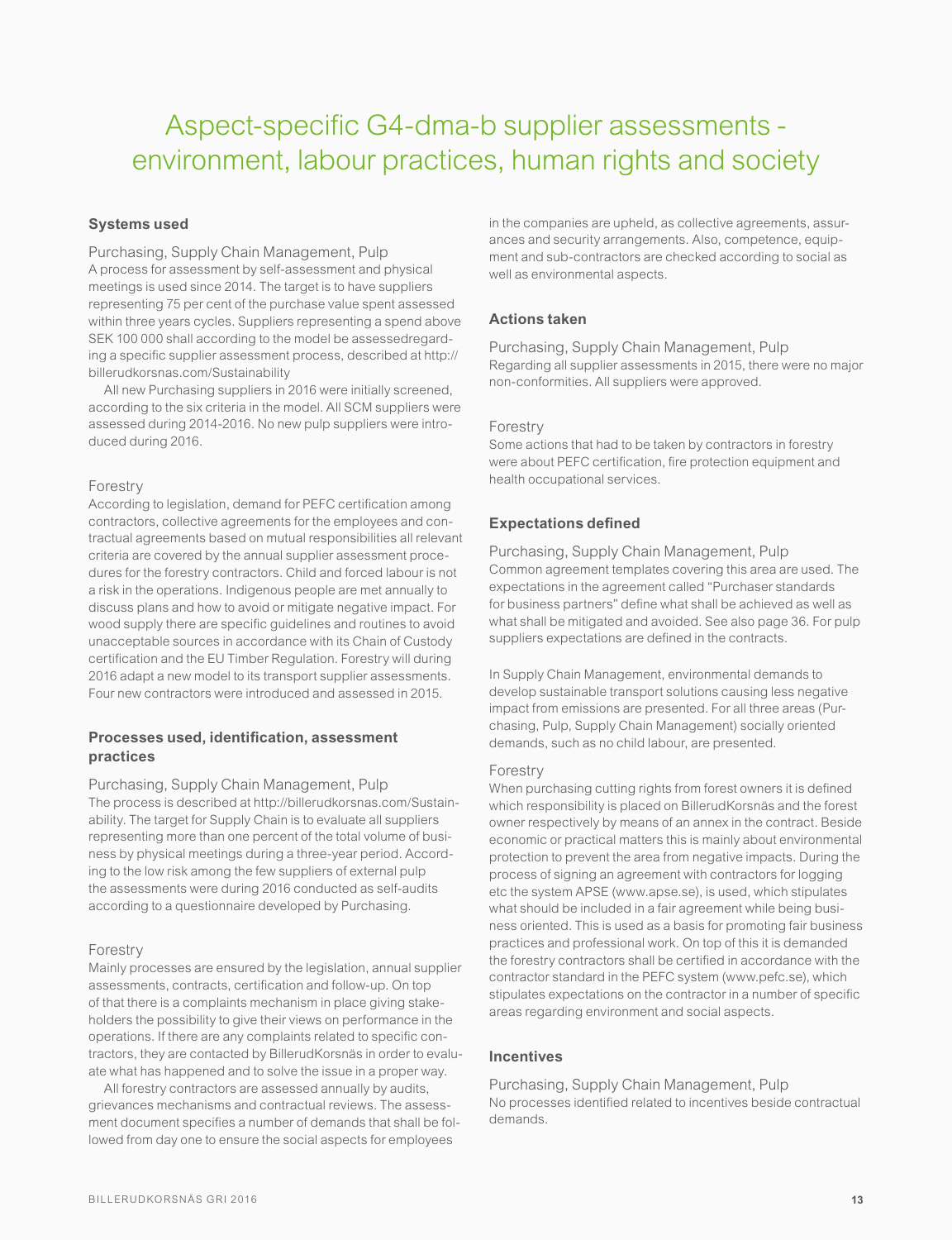## Aspect-specific G4-dma-b supplier assessments environment, labour practices, human rights and society

#### **Systems used**

Purchasing, Supply Chain Management, Pulp A process for assessment by self-assessment and physical meetings is used since 2014. The target is to have suppliers representing 75 per cent of the purchase value spent assessed within three years cycles. Suppliers representing a spend above SEK 100 000 shall according to the model be assessedregarding a specific supplier assessment process, described at http:// billerudkorsnas.com/Sustainability

All new Purchasing suppliers in 2016 were initially screened, according to the six criteria in the model. All SCM suppliers were assessed during 2014-2016. No new pulp suppliers were introduced during 2016.

#### Forestry

According to legislation, demand for PEFC certification among contractors, collective agreements for the employees and contractual agreements based on mutual responsibilities all relevant criteria are covered by the annual supplier assessment procedures for the forestry contractors. Child and forced labour is not a risk in the operations. Indigenous people are met annually to discuss plans and how to avoid or mitigate negative impact. For wood supply there are specific guidelines and routines to avoid unacceptable sources in accordance with its Chain of Custody certification and the EU Timber Regulation. Forestry will during 2016 adapt a new model to its transport supplier assessments. Four new contractors were introduced and assessed in 2015.

#### **Processes used, identification, assessment practices**

Purchasing, Supply Chain Management, Pulp The process is described at http://billerudkorsnas.com/Sustainability. The target for Supply Chain is to evaluate all suppliers representing more than one percent of the total volume of business by physical meetings during a three-year period. According to the low risk among the few suppliers of external pulp the assessments were during 2016 conducted as self-audits according to a questionnaire developed by Purchasing.

#### Forestry

Mainly processes are ensured by the legislation, annual supplier assessments, contracts, certification and follow-up. On top of that there is a complaints mechanism in place giving stakeholders the possibility to give their views on performance in the operations. If there are any complaints related to specific contractors, they are contacted by BillerudKorsnäs in order to evaluate what has happened and to solve the issue in a proper way.

All forestry contractors are assessed annually by audits, grievances mechanisms and contractual reviews. The assessment document specifies a number of demands that shall be followed from day one to ensure the social aspects for employees

in the companies are upheld, as collective agreements, assurances and security arrangements. Also, competence, equipment and sub-contractors are checked according to social as well as environmental aspects.

#### **Actions taken**

Purchasing, Supply Chain Management, Pulp Regarding all supplier assessments in 2015, there were no major non-conformities. All suppliers were approved.

#### Forestry

Some actions that had to be taken by contractors in forestry were about PEFC certification, fire protection equipment and health occupational services.

#### **Expectations defined**

Purchasing, Supply Chain Management, Pulp Common agreement templates covering this area are used. The expectations in the agreement called "Purchaser standards for business partners" define what shall be achieved as well as what shall be mitigated and avoided. See also page 36. For pulp suppliers expectations are defined in the contracts.

In Supply Chain Management, environmental demands to develop sustainable transport solutions causing less negative impact from emissions are presented. For all three areas (Purchasing, Pulp, Supply Chain Management) socially oriented demands, such as no child labour, are presented.

#### Forestry

When purchasing cutting rights from forest owners it is defined which responsibility is placed on BillerudKorsnäs and the forest owner respectively by means of an annex in the contract. Beside economic or practical matters this is mainly about environmental protection to prevent the area from negative impacts. During the process of signing an agreement with contractors for logging etc the system APSE (www.apse.se), is used, which stipulates what should be included in a fair agreement while being business oriented. This is used as a basis for promoting fair business practices and professional work. On top of this it is demanded the forestry contractors shall be certified in accordance with the contractor standard in the PEFC system (www.pefc.se), which stipulates expectations on the contractor in a number of specific areas regarding environment and social aspects.

#### **Incentives**

Purchasing, Supply Chain Management, Pulp No processes identified related to incentives beside contractual demands.